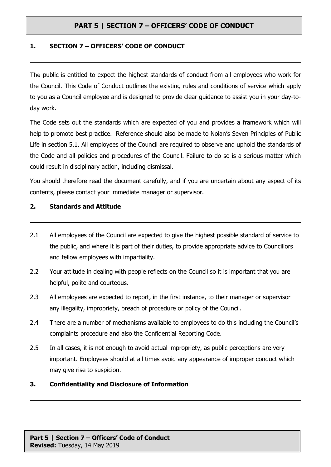### **1. SECTION 7 – OFFICERS' CODE OF CONDUCT**

The public is entitled to expect the highest standards of conduct from all employees who work for the Council. This Code of Conduct outlines the existing rules and conditions of service which apply to you as a Council employee and is designed to provide clear guidance to assist you in your day-today work.

The Code sets out the standards which are expected of you and provides a framework which will help to promote best practice. Reference should also be made to Nolan's Seven Principles of Public Life in section 5.1. All employees of the Council are required to observe and uphold the standards of the Code and all policies and procedures of the Council. Failure to do so is a serious matter which could result in disciplinary action, including dismissal.

You should therefore read the document carefully, and if you are uncertain about any aspect of its contents, please contact your immediate manager or supervisor.

### **2. Standards and Attitude**

- 2.1 All employees of the Council are expected to give the highest possible standard of service to the public, and where it is part of their duties, to provide appropriate advice to Councillors and fellow employees with impartiality.
- 2.2 Your attitude in dealing with people reflects on the Council so it is important that you are helpful, polite and courteous.
- 2.3 All employees are expected to report, in the first instance, to their manager or supervisor any illegality, impropriety, breach of procedure or policy of the Council.
- 2.4 There are a number of mechanisms available to employees to do this including the Council's complaints procedure and also the Confidential Reporting Code.
- 2.5 In all cases, it is not enough to avoid actual impropriety, as public perceptions are very important. Employees should at all times avoid any appearance of improper conduct which may give rise to suspicion.

### **3. Confidentiality and Disclosure of Information**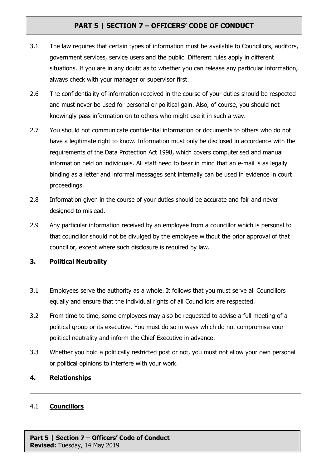- 3.1 The law requires that certain types of information must be available to Councillors, auditors, government services, service users and the public. Different rules apply in different situations. If you are in any doubt as to whether you can release any particular information, always check with your manager or supervisor first.
- 2.6 The confidentiality of information received in the course of your duties should be respected and must never be used for personal or political gain. Also, of course, you should not knowingly pass information on to others who might use it in such a way.
- 2.7 You should not communicate confidential information or documents to others who do not have a legitimate right to know. Information must only be disclosed in accordance with the requirements of the Data Protection Act 1998, which covers computerised and manual information held on individuals. All staff need to bear in mind that an e-mail is as legally binding as a letter and informal messages sent internally can be used in evidence in court proceedings.
- 2.8 Information given in the course of your duties should be accurate and fair and never designed to mislead.
- 2.9 Any particular information received by an employee from a councillor which is personal to that councillor should not be divulged by the employee without the prior approval of that councillor, except where such disclosure is required by law.

## **3. Political Neutrality**

- 3.1 Employees serve the authority as a whole. It follows that you must serve all Councillors equally and ensure that the individual rights of all Councillors are respected.
- 3.2 From time to time, some employees may also be requested to advise a full meeting of a political group or its executive. You must do so in ways which do not compromise your political neutrality and inform the Chief Executive in advance.
- 3.3 Whether you hold a politically restricted post or not, you must not allow your own personal or political opinions to interfere with your work.

## **4. Relationships**

### 4.1 **Councillors**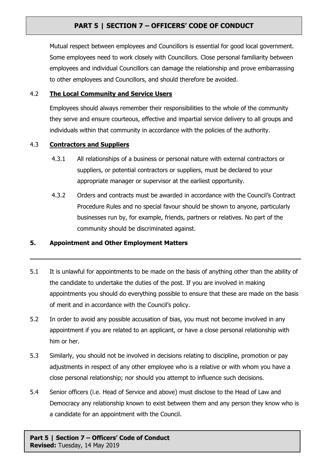Mutual respect between employees and Councillors is essential for good local government. Some employees need to work closely with Councillors. Close personal familiarity between employees and individual Councillors can damage the relationship and prove embarrassing to other employees and Councillors, and should therefore be avoided.

### 4.2 **The Local Community and Service Users**

Employees should always remember their responsibilities to the whole of the community they serve and ensure courteous, effective and impartial service delivery to all groups and individuals within that community in accordance with the policies of the authority.

### 4.3 **Contractors and Suppliers**

- 4.3.1 All relationships of a business or personal nature with external contractors or suppliers, or potential contractors or suppliers, must be declared to your appropriate manager or supervisor at the earliest opportunity.
- 4.3.2 Orders and contracts must be awarded in accordance with the Council's Contract Procedure Rules and no special favour should be shown to anyone, particularly businesses run by, for example, friends, partners or relatives. No part of the community should be discriminated against.

## **5. Appointment and Other Employment Matters**

- 5.1 It is unlawful for appointments to be made on the basis of anything other than the ability of the candidate to undertake the duties of the post. If you are involved in making appointments you should do everything possible to ensure that these are made on the basis of merit and in accordance with the Council's policy.
- 5.2 In order to avoid any possible accusation of bias, you must not become involved in any appointment if you are related to an applicant, or have a close personal relationship with him or her.
- 5.3 Similarly, you should not be involved in decisions relating to discipline, promotion or pay adjustments in respect of any other employee who is a relative or with whom you have a close personal relationship; nor should you attempt to influence such decisions.
- 5.4 Senior officers (i.e. Head of Service and above) must disclose to the Head of Law and Democracy any relationship known to exist between them and any person they know who is a candidate for an appointment with the Council.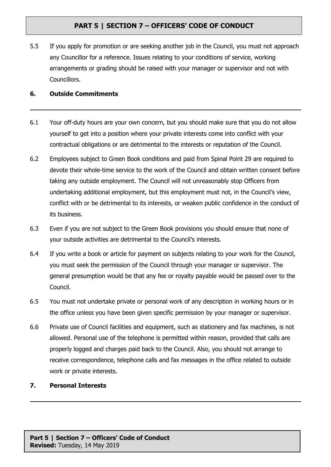5.5 If you apply for promotion or are seeking another job in the Council, you must not approach any Councillor for a reference. Issues relating to your conditions of service, working arrangements or grading should be raised with your manager or supervisor and not with Councillors.

### **6. Outside Commitments**

- 6.1 Your off-duty hours are your own concern, but you should make sure that you do not allow yourself to get into a position where your private interests come into conflict with your contractual obligations or are detrimental to the interests or reputation of the Council.
- 6.2 Employees subject to Green Book conditions and paid from Spinal Point 29 are required to devote their whole-time service to the work of the Council and obtain written consent before taking any outside employment. The Council will not unreasonably stop Officers from undertaking additional employment, but this employment must not, in the Council's view, conflict with or be detrimental to its interests, or weaken public confidence in the conduct of its business.
- 6.3 Even if you are not subject to the Green Book provisions you should ensure that none of your outside activities are detrimental to the Council's interests.
- 6.4 If you write a book or article for payment on subjects relating to your work for the Council, you must seek the permission of the Council through your manager or supervisor. The general presumption would be that any fee or royalty payable would be passed over to the Council.
- 6.5 You must not undertake private or personal work of any description in working hours or in the office unless you have been given specific permission by your manager or supervisor.
- 6.6 Private use of Council facilities and equipment, such as stationery and fax machines, is not allowed. Personal use of the telephone is permitted within reason, provided that calls are properly logged and charges paid back to the Council. Also, you should not arrange to receive correspondence, telephone calls and fax messages in the office related to outside work or private interests.
- **7. Personal Interests**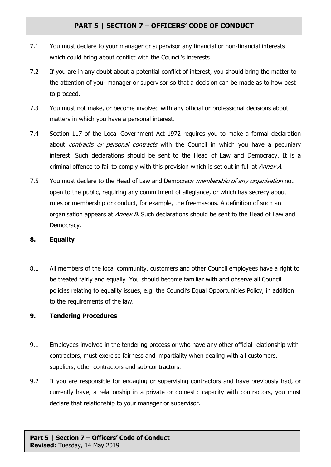- 7.1 You must declare to your manager or supervisor any financial or non-financial interests which could bring about conflict with the Council's interests.
- 7.2 If you are in any doubt about a potential conflict of interest, you should bring the matter to the attention of your manager or supervisor so that a decision can be made as to how best to proceed.
- 7.3 You must not make, or become involved with any official or professional decisions about matters in which you have a personal interest.
- 7.4 Section 117 of the Local Government Act 1972 requires you to make a formal declaration about *contracts or personal contracts* with the Council in which you have a pecuniary interest. Such declarations should be sent to the Head of Law and Democracy. It is a criminal offence to fail to comply with this provision which is set out in full at *Annex A*.
- 7.5 You must declare to the Head of Law and Democracy *membership of any organisation* not open to the public, requiring any commitment of allegiance, or which has secrecy about rules or membership or conduct, for example, the freemasons. A definition of such an organisation appears at *Annex B*. Such declarations should be sent to the Head of Law and Democracy.

#### **8. Equality**

8.1 All members of the local community, customers and other Council employees have a right to be treated fairly and equally. You should become familiar with and observe all Council policies relating to equality issues, e.g. the Council's Equal Opportunities Policy, in addition to the requirements of the law.

### **9. Tendering Procedures**

- 9.1 Employees involved in the tendering process or who have any other official relationship with contractors, must exercise fairness and impartiality when dealing with all customers, suppliers, other contractors and sub-contractors.
- 9.2 If you are responsible for engaging or supervising contractors and have previously had, or currently have, a relationship in a private or domestic capacity with contractors, you must declare that relationship to your manager or supervisor.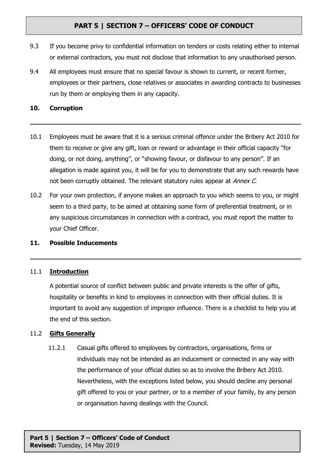- 9.3 If you become privy to confidential information on tenders or costs relating either to internal or external contractors, you must not disclose that information to any unauthorised person.
- 9.4 All employees must ensure that no special favour is shown to current, or recent former, employees or their partners, close relatives or associates in awarding contracts to businesses run by them or employing them in any capacity.

### **10. Corruption**

- 10.1 Employees must be aware that it is a serious criminal offence under the Bribery Act 2010 for them to receive or give any gift, loan or reward or advantage in their official capacity "for doing, or not doing, anything", or "showing favour, or disfavour to any person". If an allegation is made against you, it will be for you to demonstrate that any such rewards have not been corruptly obtained. The relevant statutory rules appear at *Annex C*.
- 10.2 For your own protection, if anyone makes an approach to you which seems to you, or might seem to a third party, to be aimed at obtaining some form of preferential treatment, or in any suspicious circumstances in connection with a contract, you must report the matter to your Chief Officer.

### **11. Possible Inducements**

#### 11.1 **Introduction**

A potential source of conflict between public and private interests is the offer of gifts, hospitality or benefits in kind to employees in connection with their official duties. It is important to avoid any suggestion of improper influence. There is a checklist to help you at the end of this section.

#### 11.2 **Gifts Generally**

11.2.1 Casual gifts offered to employees by contractors, organisations, firms or individuals may not be intended as an inducement or connected in any way with the performance of your official duties so as to involve the Bribery Act 2010. Nevertheless, with the exceptions listed below, you should decline any personal gift offered to you or your partner, or to a member of your family, by any person or organisation having dealings with the Council.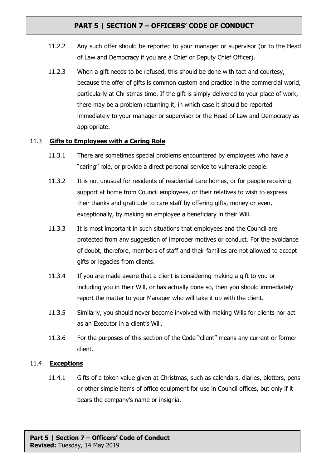- 11.2.2 Any such offer should be reported to your manager or supervisor (or to the Head of Law and Democracy if you are a Chief or Deputy Chief Officer).
- 11.2.3 When a gift needs to be refused, this should be done with tact and courtesy, because the offer of gifts is common custom and practice in the commercial world, particularly at Christmas time. If the gift is simply delivered to your place of work, there may be a problem returning it, in which case it should be reported immediately to your manager or supervisor or the Head of Law and Democracy as appropriate.

### 11.3 **Gifts to Employees with a Caring Role**

- 11.3.1 There are sometimes special problems encountered by employees who have a "caring" role, or provide a direct personal service to vulnerable people.
- 11.3.2 It is not unusual for residents of residential care homes, or for people receiving support at home from Council employees, or their relatives to wish to express their thanks and gratitude to care staff by offering gifts, money or even, exceptionally, by making an employee a beneficiary in their Will.
- 11.3.3 It is most important in such situations that employees and the Council are protected from any suggestion of improper motives or conduct. For the avoidance of doubt, therefore, members of staff and their families are not allowed to accept gifts or legacies from clients.
- 11.3.4 If you are made aware that a client is considering making a gift to you or including you in their Will, or has actually done so, then you should immediately report the matter to your Manager who will take it up with the client.
- 11.3.5 Similarly, you should never become involved with making Wills for clients nor act as an Executor in a client's Will.
- 11.3.6 For the purposes of this section of the Code "client" means any current or former client.

### 11.4 **Exceptions**

11.4.1 Gifts of a token value given at Christmas, such as calendars, diaries, blotters, pens or other simple items of office equipment for use in Council offices, but only if it bears the company's name or insignia.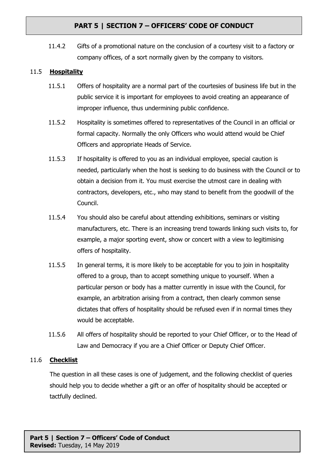11.4.2 Gifts of a promotional nature on the conclusion of a courtesy visit to a factory or company offices, of a sort normally given by the company to visitors.

### 11.5 **Hospitality**

- 11.5.1 Offers of hospitality are a normal part of the courtesies of business life but in the public service it is important for employees to avoid creating an appearance of improper influence, thus undermining public confidence.
- 11.5.2 Hospitality is sometimes offered to representatives of the Council in an official or formal capacity. Normally the only Officers who would attend would be Chief Officers and appropriate Heads of Service.
- 11.5.3 If hospitality is offered to you as an individual employee, special caution is needed, particularly when the host is seeking to do business with the Council or to obtain a decision from it. You must exercise the utmost care in dealing with contractors, developers, etc., who may stand to benefit from the goodwill of the Council.
- 11.5.4 You should also be careful about attending exhibitions, seminars or visiting manufacturers, etc. There is an increasing trend towards linking such visits to, for example, a major sporting event, show or concert with a view to legitimising offers of hospitality.
- 11.5.5 In general terms, it is more likely to be acceptable for you to join in hospitality offered to a group, than to accept something unique to yourself. When a particular person or body has a matter currently in issue with the Council, for example, an arbitration arising from a contract, then clearly common sense dictates that offers of hospitality should be refused even if in normal times they would be acceptable.
- 11.5.6 All offers of hospitality should be reported to your Chief Officer, or to the Head of Law and Democracy if you are a Chief Officer or Deputy Chief Officer.

### 11.6 **Checklist**

The question in all these cases is one of judgement, and the following checklist of queries should help you to decide whether a gift or an offer of hospitality should be accepted or tactfully declined.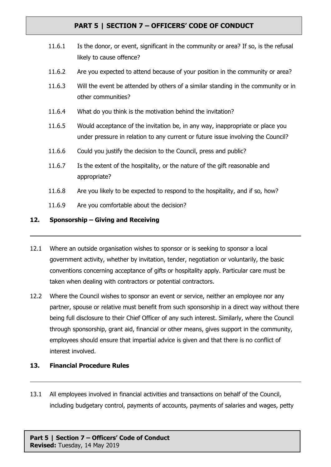- 11.6.1 Is the donor, or event, significant in the community or area? If so, is the refusal likely to cause offence?
- 11.6.2 Are you expected to attend because of your position in the community or area?
- 11.6.3 Will the event be attended by others of a similar standing in the community or in other communities?
- 11.6.4 What do you think is the motivation behind the invitation?
- 11.6.5 Would acceptance of the invitation be, in any way, inappropriate or place you under pressure in relation to any current or future issue involving the Council?
- 11.6.6 Could you justify the decision to the Council, press and public?
- 11.6.7 Is the extent of the hospitality, or the nature of the gift reasonable and appropriate?
- 11.6.8 Are you likely to be expected to respond to the hospitality, and if so, how?
- 11.6.9 Are you comfortable about the decision?

#### **12. Sponsorship – Giving and Receiving**

- 12.1 Where an outside organisation wishes to sponsor or is seeking to sponsor a local government activity, whether by invitation, tender, negotiation or voluntarily, the basic conventions concerning acceptance of gifts or hospitality apply. Particular care must be taken when dealing with contractors or potential contractors.
- 12.2 Where the Council wishes to sponsor an event or service, neither an employee nor any partner, spouse or relative must benefit from such sponsorship in a direct way without there being full disclosure to their Chief Officer of any such interest. Similarly, where the Council through sponsorship, grant aid, financial or other means, gives support in the community, employees should ensure that impartial advice is given and that there is no conflict of interest involved.

#### **13. Financial Procedure Rules**

13.1 All employees involved in financial activities and transactions on behalf of the Council, including budgetary control, payments of accounts, payments of salaries and wages, petty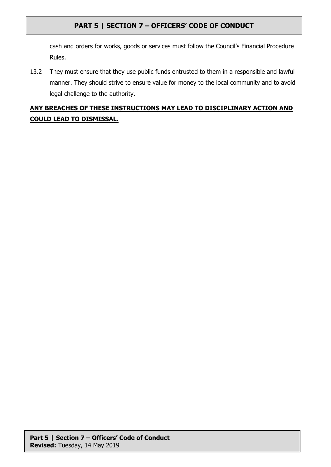cash and orders for works, goods or services must follow the Council's Financial Procedure Rules.

13.2 They must ensure that they use public funds entrusted to them in a responsible and lawful manner. They should strive to ensure value for money to the local community and to avoid legal challenge to the authority.

# **ANY BREACHES OF THESE INSTRUCTIONS MAY LEAD TO DISCIPLINARY ACTION AND COULD LEAD TO DISMISSAL.**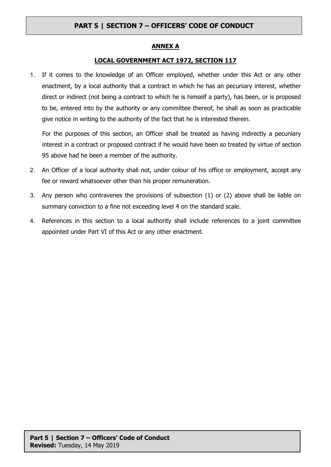#### **ANNEX A**

#### **LOCAL GOVERNMENT ACT 1972, SECTION 117**

1. If it comes to the knowledge of an Officer employed, whether under this Act or any other enactment, by a local authority that a contract in which he has an pecuniary interest, whether direct or indirect (not being a contract to which he is himself a party), has been, or is proposed to be, entered into by the authority or any committee thereof, he shall as soon as practicable give notice in writing to the authority of the fact that he is interested therein.

For the purposes of this section, an Officer shall be treated as having indirectly a pecuniary interest in a contract or proposed contract if he would have been so treated by virtue of section 95 above had he been a member of the authority.

- 2. An Officer of a local authority shall not, under colour of his office or employment, accept any fee or reward whatsoever other than his proper remuneration.
- 3. Any person who contravenes the provisions of subsection (1) or (2) above shall be liable on summary conviction to a fine not exceeding level 4 on the standard scale.
- 4. References in this section to a local authority shall include references to a joint committee appointed under Part VI of this Act or any other enactment.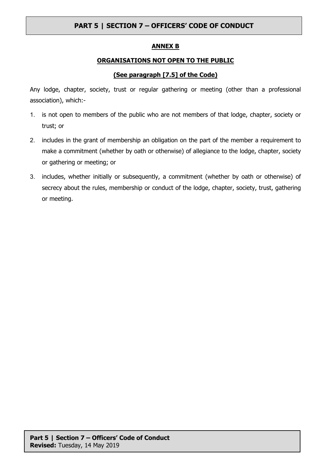#### **ANNEX B**

### **ORGANISATIONS NOT OPEN TO THE PUBLIC**

### **(See paragraph [7.5] of the Code)**

Any lodge, chapter, society, trust or regular gathering or meeting (other than a professional association), which:-

- 1. is not open to members of the public who are not members of that lodge, chapter, society or trust; or
- 2. includes in the grant of membership an obligation on the part of the member a requirement to make a commitment (whether by oath or otherwise) of allegiance to the lodge, chapter, society or gathering or meeting; or
- 3. includes, whether initially or subsequently, a commitment (whether by oath or otherwise) of secrecy about the rules, membership or conduct of the lodge, chapter, society, trust, gathering or meeting.